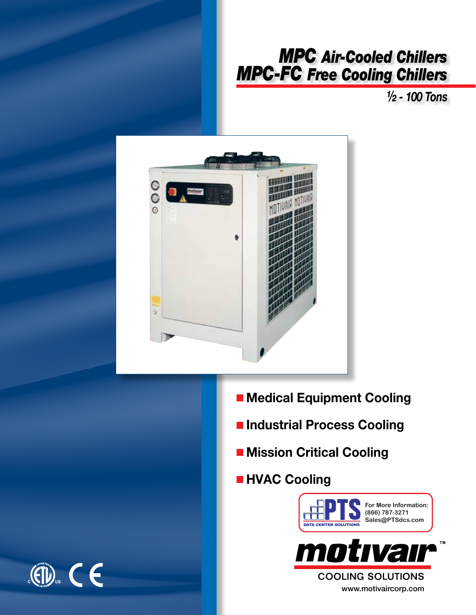# *MPC Air-Cooled Chillers MPC-FC Free Cooling Chillers*

*½ - 100 Tons*



- **E** Medical Equipment Cooling
- n **Industrial Process Cooling**
- $\blacksquare$  **Mission Critical Cooling**
- $\blacksquare$  **HVAC Cooling**



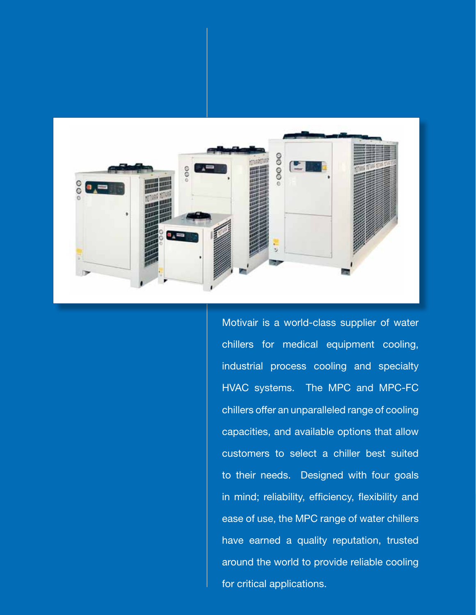

Motivair is a world-class supplier of water chillers for medical equipment cooling, industrial process cooling and specialty HVAC systems. The MPC and MPC-FC chillers offer an unparalleled range of cooling capacities, and available options that allow customers to select a chiller best suited to their needs. Designed with four goals in mind; reliability, efficiency, flexibility and ease of use, the MPC range of water chillers have earned a quality reputation, trusted around the world to provide reliable cooling for critical applications.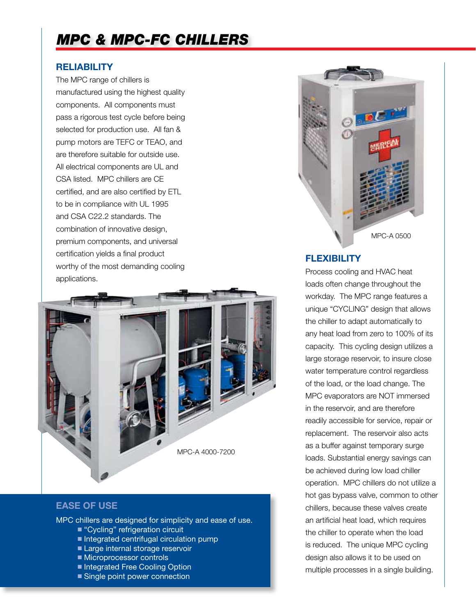## *MPC & MPC-FC Chillers*

#### **Reliability**

The MPC range of chillers is manufactured using the highest quality components. All components must pass a rigorous test cycle before being selected for production use. All fan & pump motors are TEFC or TEAO, and are therefore suitable for outside use. All electrical components are UL and CSA listed. MPC chillers are CE certified, and are also certified by ETL to be in compliance with UL 1995 and CSA C22.2 standards. The combination of innovative design, premium components, and universal certification yields a final product worthy of the most demanding cooling applications.



#### **Flexibility**

Process cooling and HVAC heat loads often change throughout the workday. The MPC range features a unique "CYCLING" design that allows the chiller to adapt automatically to any heat load from zero to 100% of its capacity. This cycling design utilizes a large storage reservoir, to insure close water temperature control regardless of the load, or the load change. The MPC evaporators are NOT immersed in the reservoir, and are therefore readily accessible for service, repair or replacement. The reservoir also acts as a buffer against temporary surge loads. Substantial energy savings can be achieved during low load chiller operation. MPC chillers do not utilize a hot gas bypass valve, common to other chillers, because these valves create an artificial heat load, which requires the chiller to operate when the load is reduced. The unique MPC cycling design also allows it to be used on multiple processes in a single building.



### **Ease of use**

MPC chillers are designed for simplicity and ease of use.

- "Cycling" refrigeration circuit
- $\blacksquare$  Integrated centrifugal circulation pump
- Large internal storage reservoir
- Microprocessor controls
- Integrated Free Cooling Option
- Single point power connection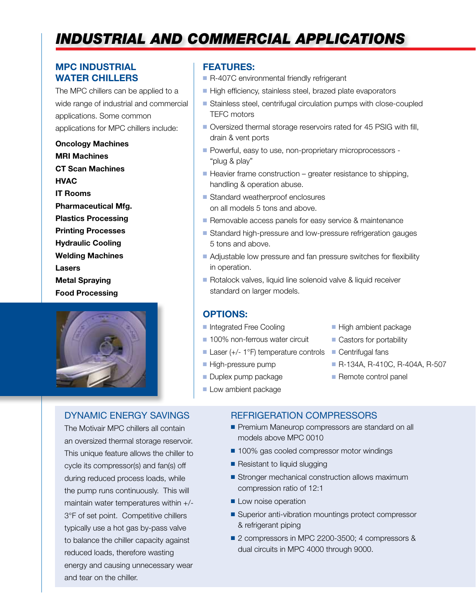## *Industrial and commercial applications*

### **MPC Industrial Water Chillers**

The MPC chillers can be applied to a wide range of industrial and commercial applications. Some common applications for MPC chillers include:

**Oncology Machines MRI Machines CT Scan Machines HVAC IT Rooms Pharmaceutical Mfg. Plastics Processing Printing Processes Hydraulic Cooling Welding Machines Lasers Metal Spraying Food Processing**



#### Dynamic Energy Savings

The Motivair MPC chillers all contain an oversized thermal storage reservoir. This unique feature allows the chiller to cycle its compressor(s) and fan(s) off during reduced process loads, while the pump runs continuously. This will maintain water temperatures within +/- 3°F of set point. Competitive chillers typically use a hot gas by-pass valve to balance the chiller capacity against reduced loads, therefore wasting energy and causing unnecessary wear and tear on the chiller.

#### **Features:**

- R-407C environmental friendly refrigerant
- $\blacksquare$  High efficiency, stainless steel, brazed plate evaporators
- Stainless steel, centrifugal circulation pumps with close-coupled TEFC motors
- Oversized thermal storage reservoirs rated for 45 PSIG with fill, drain & vent ports
- Powerful, easy to use, non-proprietary microprocessors -"plug & play"
- $\blacksquare$  Heavier frame construction greater resistance to shipping, handling & operation abuse.
- $\blacksquare$  Standard weatherproof enclosures on all models 5 tons and above.
- Removable access panels for easy service & maintenance
- Standard high-pressure and low-pressure refrigeration gauges 5 tons and above.
- Adjustable low pressure and fan pressure switches for flexibility in operation.
- Rotalock valves, liquid line solenoid valve & liquid receiver standard on larger models.

#### **Options:**

- **n** Integrated Free Cooling
- 100% non-ferrous water circuit
- Laser (+/- 1 $\degree$ F) temperature controls  $\Box$  Centrifugal fans
- **High-pressure pump**
- **Duplex pump package**
- **Low ambient package**
- $\blacksquare$  High ambient package
- $\blacksquare$  Castors for portability
- 
- n R-134A, R-410C, R-404A, R-507
- $\blacksquare$  Remote control panel

#### Refrigeration Compressors

- **Premium Maneurop compressors are standard on all** models above MPC 0010
- 100% gas cooled compressor motor windings
- $\blacksquare$  Resistant to liquid slugging
- $\blacksquare$  Stronger mechanical construction allows maximum compression ratio of 12:1
- **Low noise operation**
- $\blacksquare$  Superior anti-vibration mountings protect compressor & refrigerant piping
- 2 compressors in MPC 2200-3500; 4 compressors & dual circuits in MPC 4000 through 9000.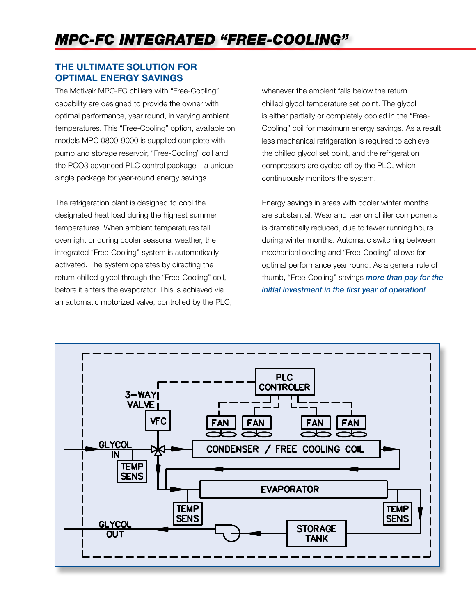## *MPC-FC Integrated "Free-Cooling"*

## **The Ultimate Solution For Optimal Energy Savings**

The Motivair MPC-FC chillers with "Free-Cooling" capability are designed to provide the owner with optimal performance, year round, in varying ambient temperatures. This "Free-Cooling" option, available on models MPC 0800-9000 is supplied complete with pump and storage reservoir, "Free-Cooling" coil and the PCO3 advanced PLC control package – a unique single package for year-round energy savings.

The refrigeration plant is designed to cool the designated heat load during the highest summer temperatures. When ambient temperatures fall overnight or during cooler seasonal weather, the integrated "Free-Cooling" system is automatically activated. The system operates by directing the return chilled glycol through the "Free-Cooling" coil, before it enters the evaporator. This is achieved via an automatic motorized valve, controlled by the PLC, whenever the ambient falls below the return chilled glycol temperature set point. The glycol is either partially or completely cooled in the "Free-Cooling" coil for maximum energy savings. As a result, less mechanical refrigeration is required to achieve the chilled glycol set point, and the refrigeration compressors are cycled off by the PLC, which continuously monitors the system.

Energy savings in areas with cooler winter months are substantial. Wear and tear on chiller components is dramatically reduced, due to fewer running hours during winter months. Automatic switching between mechanical cooling and "Free-Cooling" allows for optimal performance year round. As a general rule of thumb, "Free-Cooling" savings *more than pay for the initial investment in the first year of operation!*

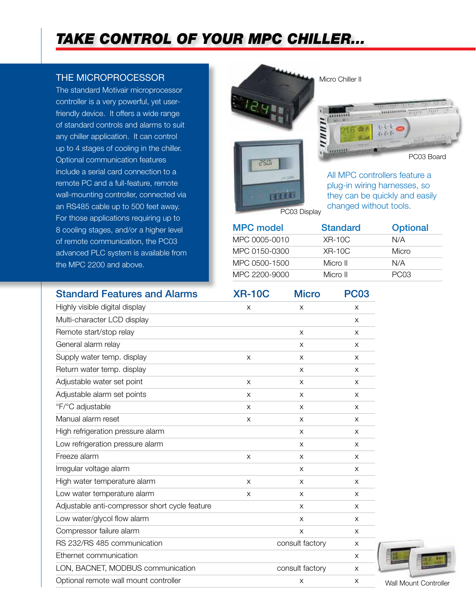## *Take control of your MPC Chiller...*

### the microprocessor

The standard Motivair microprocessor controller is a very powerful, yet userfriendly device. It offers a wide range of standard controls and alarms to suit any chiller application. It can control up to 4 stages of cooling in the chiller. Optional communication features include a serial card connection to a remote PC and a full-feature, remote wall-mounting controller, connected via an RS485 cable up to 500 feet away. For those applications requiring up to 8 cooling stages, and/or a higher level of remote communication, the PC03 advanced PLC system is available from the MPC 2200 and above.



changed without tools.

PC03 Display

| <b>MPC model</b> | <b>Standard</b> | <b>Optional</b>  |
|------------------|-----------------|------------------|
| MPC 0005-0010    | $XR-10C$        | N/A              |
| MPC 0150-0300    | $XR-10C$        | Micro            |
| MPC 0500-1500    | Micro II        | N/A              |
| MPC 2200-9000    | Micro II        | PC <sub>03</sub> |

| <b>Standard Features and Alarms</b>            | <b>XR-10C</b> | <b>Micro</b>    | <b>PC03</b> |
|------------------------------------------------|---------------|-----------------|-------------|
| Highly visible digital display                 | X             | X               | X           |
| Multi-character LCD display                    |               |                 | X           |
| Remote start/stop relay                        |               | X               | X           |
| General alarm relay                            |               | X               | X           |
| Supply water temp. display                     | X             | X               | X           |
| Return water temp. display                     |               | $\times$        | X           |
| Adjustable water set point                     | X             | X               | X           |
| Adjustable alarm set points                    | X             | X               | X           |
| °F/°C adjustable                               | X             | X               | X           |
| Manual alarm reset                             | X             | X               | X           |
| High refrigeration pressure alarm              |               | $\times$        | X           |
| Low refrigeration pressure alarm               |               | X               | X           |
| Freeze alarm                                   | X             | $\times$        | X           |
| Irregular voltage alarm                        |               | X               | X           |
| High water temperature alarm                   | X             | X               | X           |
| Low water temperature alarm                    | X             | X               | X           |
| Adjustable anti-compressor short cycle feature |               | X               | X           |
| Low water/glycol flow alarm                    |               | $\times$        | X           |
| Compressor failure alarm                       |               | X               | X           |
| RS 232/RS 485 communication                    |               | consult factory | X           |
| Ethernet communication                         |               |                 | X           |
| LON, BACNET, MODBUS communication              |               | consult factory | X           |
| Optional remote wall mount controller          |               | X               | X           |



Wall Mount Controller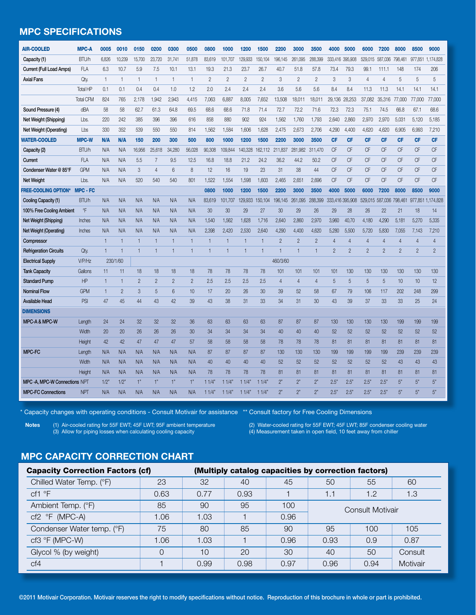### **MPC specifications**

| <b>AIR-COOLED</b>             | <b>MPC-A</b>     | 0005         | 0010           | 0150           | 0200           | 0300         | 0500           | 0800           | 1000           | 1200           | 1500           | 2200           | 3000           | 3500           | 4000            | 5000           | 6000           | 7200            | 8000           | 8500           | 9000              |
|-------------------------------|------------------|--------------|----------------|----------------|----------------|--------------|----------------|----------------|----------------|----------------|----------------|----------------|----------------|----------------|-----------------|----------------|----------------|-----------------|----------------|----------------|-------------------|
| Capacity (1)                  | <b>BTU/h</b>     | 6,826        | 10,239         | 15,700         | 23,720         | 31,741       | 51,878         | 83,619         | 101,707        | 129,933        | 150,104        | 196,145        | 261,095        | 288,399        | 333,416         | 395,908        | 529,015        | 587,036         | 798,461        | 977,851        | 1,174,828         |
| Current (Full Load Amps)      | <b>FLA</b>       | 6.3          | 10.7           | 5.9            | 7.5            | 10.1         | 13.1           | 19.3           | 21.3           | 23.7           | 26.7           | 40.7           | 51.8           | 57.8           | 73.4            | 79.3           | 99.1           | 111.1           | 148            | 174            | 206               |
| <b>Axial Fans</b>             | Qty.             | $\mathbf{1}$ | $\mathbf{1}$   | 1              | $\mathbf{1}$   | $\mathbf{1}$ | $\mathbf{1}$   | $\overline{2}$ | $\overline{2}$ | $\overline{c}$ | $\overline{c}$ | 3              | $\overline{2}$ | $\overline{c}$ | 3               | 3              | 4              | $\overline{4}$  | 5              | 5              | 5                 |
|                               | Total HP         | 0.1          | 0.1            | 0.4            | 0.4            | 1.0          | 1.2            | 2.0            | 2.4            | 2.4            | 2.4            | 3.6            | 5.6            | 5.6            | 8.4             | 8.4            | 11.3           | 11.3            | 14.1           | 14.1           | 14.1              |
|                               | <b>Total CFM</b> | 824          | 765            | 2.178          | 1,942          | 2.943        | 4,415          | 7.063          | 6,887          | 8,005          | 7,652          | 13,508         | 18,011         | 18,011         | 29,136          | 28,253         | 37,082         | 35,316          | 77,000         | 77,000         | 77,000            |
| Sound Pressure (4)            | dBA              | 58           | 58             | 62.7           | 61.3           | 64.8         | 69.5           | 68.6           | 68.6           | 71.8           | 71.4           | 72.7           | 72.2           | 71.6           | 72.3            | 72.3           | 75.1           | 74.5            | 66.8           | 67.1           | 68.6              |
| Net Weight (Shipping)         | Lbs.             | 220          | 242            | 385            | 396            | 396          | 616            | 858            | 880            | 902            | 924            | 1,562          | 1,760          | 1,793          | 2,640           | 2.860          | 2,970          | 2,970           | 5,031          | 5,120          | 5,185             |
| Net Weight (Operating)        | Lbs              | 330          | 352            | 539            | 550            | 550          | 814            | 1,562          | 1,584          | 1,606          | 1,628          | 2,475          | 2,673          | 2,706          | 4,290           | 4,400          | 4,620          | 4,620           | 6,905          | 6,993          | 7,210             |
| <b>WATER-COOLED</b>           | <b>MPC-W</b>     | N/A          | <b>N/A</b>     | 150            | 200            | 300          | 500            | 800            | 1000           | 1200           | 1500           | 2200           | 3000           | 3500           | <b>CF</b>       | <b>CF</b>      | <b>CF</b>      | <b>CF</b>       | <b>CF</b>      | <b>CF</b>      | <b>CF</b>         |
| Capacity (2)                  | <b>BTU/h</b>     | N/A          | N/A            | 16,956         | 25,618         | 34,280       | 56,028         | 90,308         | 109,844        | 140,328        | 162,112        | 211,837        | 281,982        | 311,470        | <b>CF</b>       | <b>CF</b>      | <b>CF</b>      | <b>CF</b>       | <b>CF</b>      | <b>CF</b>      | <b>CF</b>         |
| Current                       | <b>FLA</b>       | N/A          | N/A            | 5.5            | $\overline{7}$ | 9.5          | 12.5           | 16.8           | 18.8           | 21.2           | 24.2           | 36.2           | 44.2           | 50.2           | <b>CF</b>       | <b>CF</b>      | <b>CF</b>      | <b>CF</b>       | <b>CF</b>      | <b>CF</b>      | <b>CF</b>         |
| Condenser Water @ 85°F        | <b>GPM</b>       | N/A          | N/A            | 3              | 4              | 6            | $\,8\,$        | 12             | 16             | 19             | 23             | 31             | 38             | 44             | <b>CF</b>       | <b>CF</b>      | <b>CF</b>      | <b>CF</b>       | <b>CF</b>      | <b>CF</b>      | <b>CF</b>         |
| <b>Net Weight</b>             | $L$ bs.          | N/A          | N/A            | 520            | 540            | 540          | 801            | 1.522          | 1.554          | 1.598          | 1.603          | 2.465          | 2.651          | 2.696          | CF              | <b>CF</b>      | <b>CF</b>      | CF              | CF             | <b>CF</b>      | CF                |
| <b>FREE-COOLING OPTION*</b>   | <b>MPC - FC</b>  |              |                |                |                |              |                | 0800           | 1000           | 1200           | 1500           | 2200           | 3000           | 3500           | 4000            | 5000           | 6000           | 7200            | 8000           | 8500           | 9000              |
| Cooling Capacity (1)          | <b>BTU/h</b>     | N/A          | N/A            | N/A            | N/A            | N/A          | N/A            | 83.619         | 101.707        | 129,933        | 150.104        | 196.145        | 261.095        | 288.399        | 333,416 395,908 |                | 529.015        | 587.036 798.461 |                |                | 977.851 1.174.828 |
| 100% Free Cooling Ambient     | °F               | N/A          | N/A            | N/A            | N/A            | N/A          | N/A            | 30             | 30             | 29             | 27             | 30             | 29             | 26             | 29              | 28             | 26             | 22              | 21             | 18             | 14                |
| Net Weight (Shipping)         | <b>Inches</b>    | N/A          | N/A            | N/A            | N/A            | N/A          | N/A            | 1.540          | 1,562          | 1,628          | 1,716          | 2,640          | 2,860          | 2,970          | 3,960           | 40,70          | 4,180          | 4,290           | 5,181          | 5,270          | 5,335             |
| Net Weight (Operating)        | <b>Inches</b>    | N/A          | N/A            | N/A            | N/A            | N/A          | N/A            | 2.398          | 2.420          | 2.530          | 2.640          | 4.290          | 4.400          | 4.620          | 5.280           | 5.500          | 5.720          | 5.830           | 7.055          | 7.143          | 7,210             |
| Compressor                    |                  | $\mathbf{1}$ |                | 1              |                |              | $\mathbf{1}$   | $\mathbf{1}$   | $\mathbf{1}$   | 1              | $\mathbf{1}$   | $\overline{2}$ | $\overline{2}$ | $\overline{c}$ | $\overline{4}$  | $\overline{4}$ | 4              | 4               | $\overline{4}$ | $\overline{4}$ | $\overline{4}$    |
| <b>Refrigeration Circuits</b> | Qty.             | $\mathbf{1}$ |                | 1              |                |              | $\mathbf{1}$   | $\mathbf{1}$   | $\mathbf{1}$   | 1              | $\mathbf{1}$   |                |                | 1              | $\overline{2}$  | $\overline{2}$ | $\overline{2}$ | $\overline{2}$  | $\overline{2}$ | $\overline{2}$ | $\overline{2}$    |
| <b>Electrical Supply</b>      | V/P/Hz           |              | 230/1/60       |                |                |              |                |                |                |                |                | 460/3/60       |                |                |                 |                |                |                 |                |                |                   |
| <b>Tank Capacity</b>          | Gallons          | 11           | 11             | 18             | 18             | 18           | 18             | 78             | 78             | 78             | 78             | 101            | 101            | 101            | 101             | 130            | 130            | 130             | 130            | 130            | 130               |
| <b>Standard Pump</b>          | HP               | 1            |                | $\overline{2}$ | $\overline{2}$ | $\mathbf{2}$ | $\overline{c}$ | 2.5            | 2.5            | 2.5            | 2.5            | $\overline{4}$ | $\overline{4}$ | 4              | 5               | 5              | 5              | 5               | 10             | 10             | 12                |
| <b>Nominal Flow</b>           | <b>GPM</b>       | 1            | $\overline{2}$ | 3              | 5              | 6            | 10             | 17             | 20             | 26             | 30             | 39             | 52             | 58             | 67              | 79             | 106            | 117             | 202            | 248            | 299               |
| <b>Available Head</b>         | PSI              | 47           | 45             | 44             | 43             | 42           | 39             | 43             | 38             | 31             | 33             | 34             | 31             | 30             | 43              | 39             | 37             | 33              | 33             | 25             | 24                |
| <b>DIMENSIONS</b>             |                  |              |                |                |                |              |                |                |                |                |                |                |                |                |                 |                |                |                 |                |                |                   |
| <b>MPC-A &amp; MPC-W</b>      | Length           | 24           | 24             | 32             | 32             | 32           | 36             | 63             | 63             | 63             | 63             | 87             | 87             | 87             | 130             | 130            | 130            | 130             | 199            | 199            | 199               |
|                               | Width            | 20           | 20             | 26             | 26             | 26           | 30             | 34             | 34             | 34             | 34             | 40             | 40             | 40             | 52              | 52             | 52             | 52              | 52             | 52             | 52                |
|                               | Height           | 42           | 42             | 47             | 47             | 47           | 57             | 58             | 58             | 58             | 58             | 78             | 78             | 78             | 81              | 81             | 81             | 81              | 81             | 81             | 81                |
| <b>MPC-FC</b>                 | Length           | N/A          | N/A            | N/A            | N/A            | N/A          | N/A            | 87             | 87             | 87             | 87             | 130            | 130            | 130            | 199             | 199            | 199            | 199             | 239            | 239            | 239               |
|                               | Width            | N/A          | N/A            | N/A            | N/A            | N/A          | N/A            | 40             | 40             | 40             | 40             | 52             | 52             | 52             | 52              | 52             | 52             | 52              | 43             | 43             | 43                |
|                               | Height           | <b>N/A</b>   | <b>N/A</b>     | N/A            | N/A            | <b>N/A</b>   | <b>N/A</b>     | 78             | 78             | 78             | 78             | 81             | 81             | 81             | 81              | 81             | 81             | 81              | 81             | 81             | 81                |
| MPC-A, MPC-W Connections NPT  |                  | $1/2$ "      | 1/2"           | 1"             | 1"             | 1"           | 1"             | 11/4           | 11/4           | 11/4'          | 11/4"          | 2"             | 2"             | 2"             | 2.5"            | 2.5"           | 2.5"           | 2.5"            | 5"             | 5"             | 5"                |
| <b>MPC-FC Connections</b>     | <b>NPT</b>       | N/A          | N/A            | <b>N/A</b>     | <b>N/A</b>     | N/A          | N/A            | 11/4"          | 11/4'          | 11/4"          | 11/4           | 2"             | 2"             | 2"             | 2.5"            | 2.5"           | 2.5"           | 2.5"            | 5"             | 5"             | 5"                |

\* Capacity changes with operating conditions - Consult Motivair for assistance \*\* Consult factory for Free Cooling Dimensions

**Notes** (1) Air-cooled rating for 55F EWT; 45F LWT; 95F ambient temperature (2) Water-cooled rating for 55F EWT; 45F LWT; 85F condenser cooling water (3) Allow for piping losses when calculating cooling capacity (4) Measurement taken in open field, 10 feet away from chiller

## **MPC capacity correction chart**

| <b>Capacity Correction Factors (cf)</b> |          |      |      |      | (Multiply catalog capacities by correction factors) |      |          |  |  |  |  |  |
|-----------------------------------------|----------|------|------|------|-----------------------------------------------------|------|----------|--|--|--|--|--|
| Chilled Water Temp. (°F)                | 23       | 32   | 40   | 45   | 50                                                  | 60   |          |  |  |  |  |  |
| cf1 °F                                  | 0.63     | 0.77 | 0.93 |      | 1.1                                                 | 1.2  | 1.3      |  |  |  |  |  |
| Ambient Temp. (°F)                      | 85       | 90   | 95   | 100  | Consult Motivair                                    |      |          |  |  |  |  |  |
| $cf2$ °F (MPC-A)                        | 1.06     | 1.03 |      | 0.96 |                                                     |      |          |  |  |  |  |  |
| Condenser Water temp. (°F)              | 75       | 80   | 85   | 90   | 95                                                  | 105  |          |  |  |  |  |  |
| $cf3$ °F (MPC-W)                        | 1.06     | 1.03 |      | 0.96 | 0.93                                                | 0.9  | 0.87     |  |  |  |  |  |
| Glycol % (by weight)                    | $\Omega$ | 10   | 20   | 30   | 40                                                  | 50   | Consult  |  |  |  |  |  |
| Cf4                                     |          | 0.99 | 0.98 | 0.97 | 0.96                                                | 0.94 | Motivair |  |  |  |  |  |